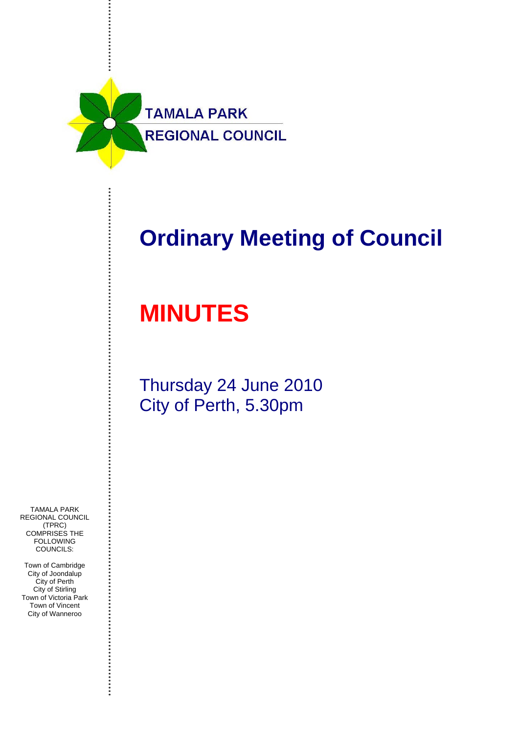

## **Ordinary Meeting of Council**

# **MINUTES**

Thursday 24 June 2010 City of Perth, 5.30pm

TAMALA PARK REGIONAL COUNCIL (TPRC) COMPRISES THE **FOLLOWING** COUNCILS:

Town of Cambridge City of Joondalup City of Perth City of Stirling Town of Victoria Park Town of Vincent City of Wanneroo

....................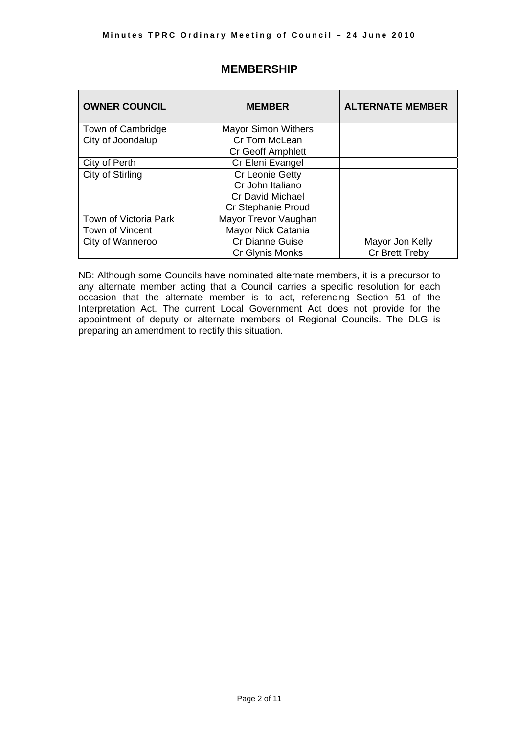| <b>OWNER COUNCIL</b>  | <b>MEMBER</b>              | <b>ALTERNATE MEMBER</b> |
|-----------------------|----------------------------|-------------------------|
| Town of Cambridge     | <b>Mayor Simon Withers</b> |                         |
| City of Joondalup     | Cr Tom McLean              |                         |
|                       | <b>Cr Geoff Amphlett</b>   |                         |
| City of Perth         | Cr Eleni Evangel           |                         |
| City of Stirling      | Cr Leonie Getty            |                         |
|                       | Cr John Italiano           |                         |
|                       | Cr David Michael           |                         |
|                       | <b>Cr Stephanie Proud</b>  |                         |
| Town of Victoria Park | Mayor Trevor Vaughan       |                         |
| Town of Vincent       | Mayor Nick Catania         |                         |
| City of Wanneroo      | <b>Cr Dianne Guise</b>     | Mayor Jon Kelly         |
|                       | Cr Glynis Monks            | Cr Brett Treby          |

## **MEMBERSHIP**

NB: Although some Councils have nominated alternate members, it is a precursor to any alternate member acting that a Council carries a specific resolution for each occasion that the alternate member is to act, referencing Section 51 of the Interpretation Act. The current Local Government Act does not provide for the appointment of deputy or alternate members of Regional Councils. The DLG is preparing an amendment to rectify this situation.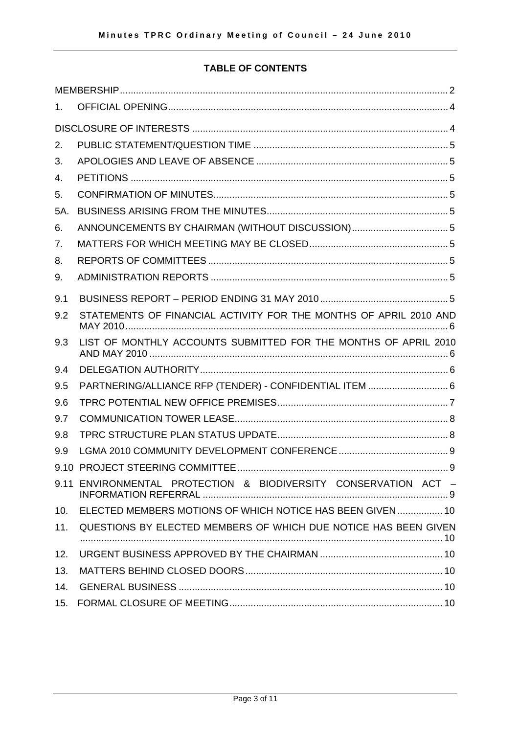## **TABLE OF CONTENTS**

| $1_{-}$ |                                                                   |  |  |  |  |
|---------|-------------------------------------------------------------------|--|--|--|--|
|         |                                                                   |  |  |  |  |
| 2.      |                                                                   |  |  |  |  |
| 3.      |                                                                   |  |  |  |  |
| 4.      |                                                                   |  |  |  |  |
| 5.      |                                                                   |  |  |  |  |
| 5A.     |                                                                   |  |  |  |  |
| 6.      |                                                                   |  |  |  |  |
| 7.      |                                                                   |  |  |  |  |
| 8.      |                                                                   |  |  |  |  |
| 9.      |                                                                   |  |  |  |  |
| 9.1     |                                                                   |  |  |  |  |
| 9.2     | STATEMENTS OF FINANCIAL ACTIVITY FOR THE MONTHS OF APRIL 2010 AND |  |  |  |  |
| 9.3     | LIST OF MONTHLY ACCOUNTS SUBMITTED FOR THE MONTHS OF APRIL 2010   |  |  |  |  |
| 9.4     |                                                                   |  |  |  |  |
| 9.5     | PARTNERING/ALLIANCE RFP (TENDER) - CONFIDENTIAL ITEM  6           |  |  |  |  |
| 9.6     |                                                                   |  |  |  |  |
| 9.7     |                                                                   |  |  |  |  |
| 9.8     |                                                                   |  |  |  |  |
| 9.9     |                                                                   |  |  |  |  |
|         |                                                                   |  |  |  |  |
|         | 9.11 ENVIRONMENTAL PROTECTION & BIODIVERSITY CONSERVATION ACT -   |  |  |  |  |
| 10.     | ELECTED MEMBERS MOTIONS OF WHICH NOTICE HAS BEEN GIVEN  10        |  |  |  |  |
| 11.     | QUESTIONS BY ELECTED MEMBERS OF WHICH DUE NOTICE HAS BEEN GIVEN   |  |  |  |  |
| 12.     |                                                                   |  |  |  |  |
| 13.     |                                                                   |  |  |  |  |
| 14.     |                                                                   |  |  |  |  |
| 15.     |                                                                   |  |  |  |  |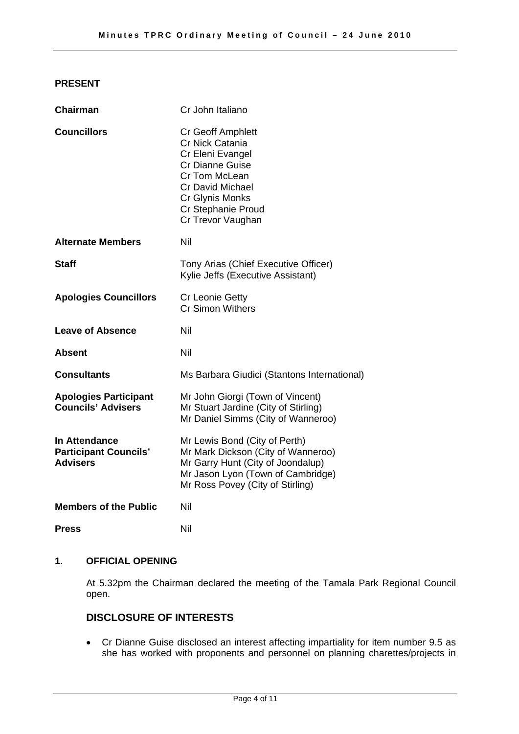## **PRESENT**

| <b>Chairman</b>                                                         | Cr John Italiano                                                                                                                                                                             |  |
|-------------------------------------------------------------------------|----------------------------------------------------------------------------------------------------------------------------------------------------------------------------------------------|--|
| <b>Councillors</b>                                                      | Cr Geoff Amphlett<br>Cr Nick Catania<br>Cr Eleni Evangel<br><b>Cr Dianne Guise</b><br>Cr Tom McLean<br><b>Cr David Michael</b><br>Cr Glynis Monks<br>Cr Stephanie Proud<br>Cr Trevor Vaughan |  |
| <b>Alternate Members</b>                                                | Nil                                                                                                                                                                                          |  |
| <b>Staff</b>                                                            | Tony Arias (Chief Executive Officer)<br>Kylie Jeffs (Executive Assistant)                                                                                                                    |  |
| <b>Apologies Councillors</b>                                            | Cr Leonie Getty<br><b>Cr Simon Withers</b>                                                                                                                                                   |  |
| <b>Leave of Absence</b>                                                 | Nil                                                                                                                                                                                          |  |
| Absent                                                                  | Nil                                                                                                                                                                                          |  |
| <b>Consultants</b>                                                      | Ms Barbara Giudici (Stantons International)                                                                                                                                                  |  |
| <b>Apologies Participant</b><br><b>Councils' Advisers</b>               | Mr John Giorgi (Town of Vincent)<br>Mr Stuart Jardine (City of Stirling)<br>Mr Daniel Simms (City of Wanneroo)                                                                               |  |
| <b>In Attendance</b><br><b>Participant Councils'</b><br><b>Advisers</b> | Mr Lewis Bond (City of Perth)<br>Mr Mark Dickson (City of Wanneroo)<br>Mr Garry Hunt (City of Joondalup)<br>Mr Jason Lyon (Town of Cambridge)<br>Mr Ross Povey (City of Stirling)            |  |
| <b>Members of the Public</b>                                            | Nil                                                                                                                                                                                          |  |
| <b>Press</b>                                                            | Nil                                                                                                                                                                                          |  |

#### **1. OFFICIAL OPENING**

At 5.32pm the Chairman declared the meeting of the Tamala Park Regional Council open.

## **DISCLOSURE OF INTERESTS**

• Cr Dianne Guise disclosed an interest affecting impartiality for item number 9.5 as she has worked with proponents and personnel on planning charettes/projects in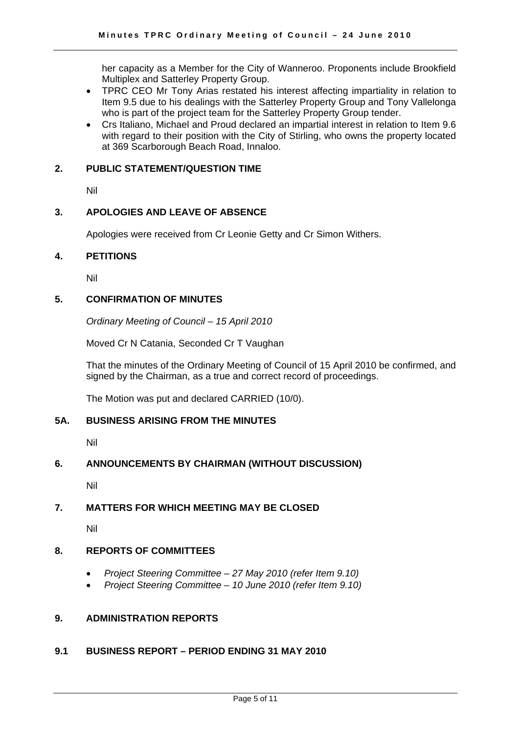her capacity as a Member for the City of Wanneroo. Proponents include Brookfield Multiplex and Satterley Property Group.

- TPRC CEO Mr Tony Arias restated his interest affecting impartiality in relation to Item 9.5 due to his dealings with the Satterley Property Group and Tony Vallelonga who is part of the project team for the Satterley Property Group tender.
- Crs Italiano, Michael and Proud declared an impartial interest in relation to Item 9.6 with regard to their position with the City of Stirling, who owns the property located at 369 Scarborough Beach Road, Innaloo.

#### **2. PUBLIC STATEMENT/QUESTION TIME**

Nil

#### **3. APOLOGIES AND LEAVE OF ABSENCE**

Apologies were received from Cr Leonie Getty and Cr Simon Withers.

#### **4. PETITIONS**

Nil

#### **5. CONFIRMATION OF MINUTES**

*Ordinary Meeting of Council – 15 April 2010* 

Moved Cr N Catania, Seconded Cr T Vaughan

That the minutes of the Ordinary Meeting of Council of 15 April 2010 be confirmed, and signed by the Chairman, as a true and correct record of proceedings.

The Motion was put and declared CARRIED (10/0).

#### **5A. BUSINESS ARISING FROM THE MINUTES**

Nil

## **6. ANNOUNCEMENTS BY CHAIRMAN (WITHOUT DISCUSSION)**

Nil

## **7. MATTERS FOR WHICH MEETING MAY BE CLOSED**

Nil

## **8. REPORTS OF COMMITTEES**

- *Project Steering Committee 27 May 2010 (refer Item 9.10)*
- *Project Steering Committee 10 June 2010 (refer Item 9.10)*

## **9. ADMINISTRATION REPORTS**

## **9.1 BUSINESS REPORT – PERIOD ENDING 31 MAY 2010**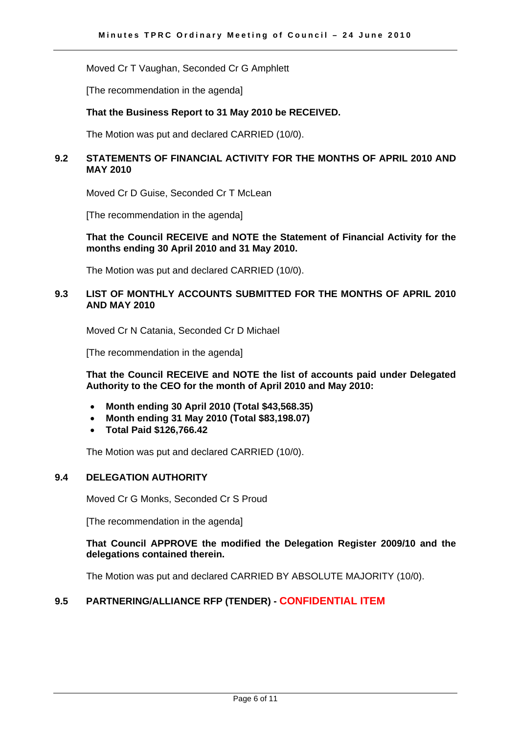Moved Cr T Vaughan, Seconded Cr G Amphlett

[The recommendation in the agenda]

#### **That the Business Report to 31 May 2010 be RECEIVED.**

The Motion was put and declared CARRIED (10/0).

#### **9.2 STATEMENTS OF FINANCIAL ACTIVITY FOR THE MONTHS OF APRIL 2010 AND MAY 2010**

Moved Cr D Guise, Seconded Cr T McLean

[The recommendation in the agenda]

#### **That the Council RECEIVE and NOTE the Statement of Financial Activity for the months ending 30 April 2010 and 31 May 2010.**

The Motion was put and declared CARRIED (10/0).

## **9.3 LIST OF MONTHLY ACCOUNTS SUBMITTED FOR THE MONTHS OF APRIL 2010 AND MAY 2010**

Moved Cr N Catania, Seconded Cr D Michael

[The recommendation in the agenda]

**That the Council RECEIVE and NOTE the list of accounts paid under Delegated Authority to the CEO for the month of April 2010 and May 2010:** 

- **Month ending 30 April 2010 (Total \$43,568.35)**
- **Month ending 31 May 2010 (Total \$83,198.07)**
- **Total Paid \$126,766.42**

The Motion was put and declared CARRIED (10/0).

#### **9.4 DELEGATION AUTHORITY**

Moved Cr G Monks, Seconded Cr S Proud

[The recommendation in the agenda]

#### **That Council APPROVE the modified the Delegation Register 2009/10 and the delegations contained therein.**

The Motion was put and declared CARRIED BY ABSOLUTE MAJORITY (10/0).

## **9.5 PARTNERING/ALLIANCE RFP (TENDER) - CONFIDENTIAL ITEM**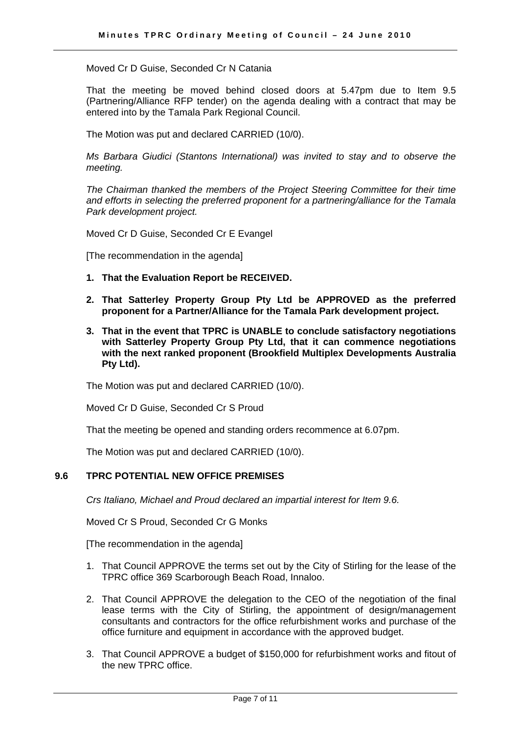Moved Cr D Guise, Seconded Cr N Catania

That the meeting be moved behind closed doors at 5.47pm due to Item 9.5 (Partnering/Alliance RFP tender) on the agenda dealing with a contract that may be entered into by the Tamala Park Regional Council.

The Motion was put and declared CARRIED (10/0).

*Ms Barbara Giudici (Stantons International) was invited to stay and to observe the meeting.* 

*The Chairman thanked the members of the Project Steering Committee for their time and efforts in selecting the preferred proponent for a partnering/alliance for the Tamala Park development project.* 

Moved Cr D Guise, Seconded Cr E Evangel

[The recommendation in the agenda]

- **1. That the Evaluation Report be RECEIVED.**
- **2. That Satterley Property Group Pty Ltd be APPROVED as the preferred proponent for a Partner/Alliance for the Tamala Park development project.**
- **3. That in the event that TPRC is UNABLE to conclude satisfactory negotiations with Satterley Property Group Pty Ltd, that it can commence negotiations with the next ranked proponent (Brookfield Multiplex Developments Australia Pty Ltd).**

The Motion was put and declared CARRIED (10/0).

Moved Cr D Guise, Seconded Cr S Proud

That the meeting be opened and standing orders recommence at 6.07pm.

The Motion was put and declared CARRIED (10/0).

#### **9.6 TPRC POTENTIAL NEW OFFICE PREMISES**

*Crs Italiano, Michael and Proud declared an impartial interest for Item 9.6.* 

Moved Cr S Proud, Seconded Cr G Monks

[The recommendation in the agenda]

- 1. That Council APPROVE the terms set out by the City of Stirling for the lease of the TPRC office 369 Scarborough Beach Road, Innaloo.
- 2. That Council APPROVE the delegation to the CEO of the negotiation of the final lease terms with the City of Stirling, the appointment of design/management consultants and contractors for the office refurbishment works and purchase of the office furniture and equipment in accordance with the approved budget.
- 3. That Council APPROVE a budget of \$150,000 for refurbishment works and fitout of the new TPRC office.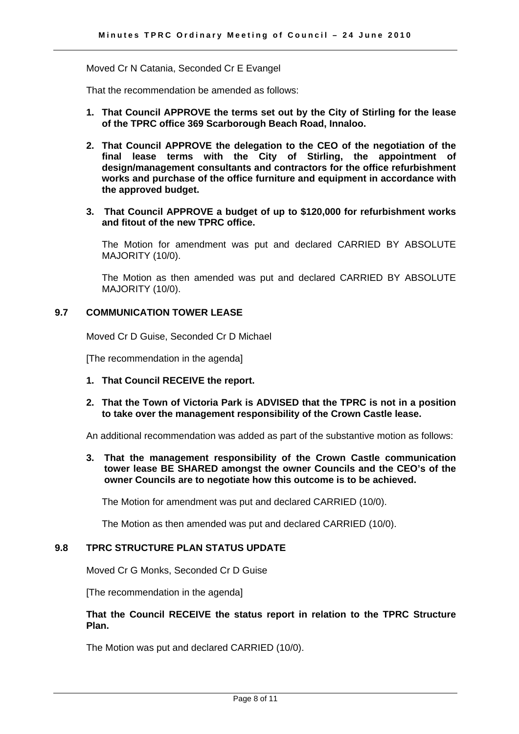Moved Cr N Catania, Seconded Cr E Evangel

That the recommendation be amended as follows:

- **1. That Council APPROVE the terms set out by the City of Stirling for the lease of the TPRC office 369 Scarborough Beach Road, Innaloo.**
- **2. That Council APPROVE the delegation to the CEO of the negotiation of the final lease terms with the City of Stirling, the appointment of design/management consultants and contractors for the office refurbishment works and purchase of the office furniture and equipment in accordance with the approved budget.**
- **3. That Council APPROVE a budget of up to \$120,000 for refurbishment works and fitout of the new TPRC office.**

The Motion for amendment was put and declared CARRIED BY ABSOLUTE MAJORITY (10/0).

The Motion as then amended was put and declared CARRIED BY ABSOLUTE MAJORITY (10/0).

#### **9.7 COMMUNICATION TOWER LEASE**

Moved Cr D Guise, Seconded Cr D Michael

[The recommendation in the agenda]

- **1. That Council RECEIVE the report.**
- **2. That the Town of Victoria Park is ADVISED that the TPRC is not in a position to take over the management responsibility of the Crown Castle lease.**

An additional recommendation was added as part of the substantive motion as follows:

**3. That the management responsibility of the Crown Castle communication tower lease BE SHARED amongst the owner Councils and the CEO's of the owner Councils are to negotiate how this outcome is to be achieved.** 

The Motion for amendment was put and declared CARRIED (10/0).

The Motion as then amended was put and declared CARRIED (10/0).

#### **9.8 TPRC STRUCTURE PLAN STATUS UPDATE**

Moved Cr G Monks, Seconded Cr D Guise

[The recommendation in the agenda]

#### **That the Council RECEIVE the status report in relation to the TPRC Structure Plan.**

The Motion was put and declared CARRIED (10/0).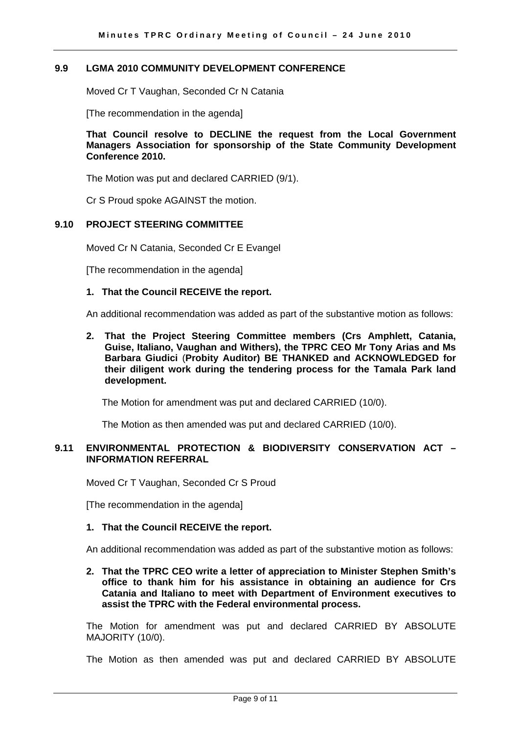#### **9.9 LGMA 2010 COMMUNITY DEVELOPMENT CONFERENCE**

Moved Cr T Vaughan, Seconded Cr N Catania

[The recommendation in the agenda]

**That Council resolve to DECLINE the request from the Local Government Managers Association for sponsorship of the State Community Development Conference 2010.** 

The Motion was put and declared CARRIED (9/1).

Cr S Proud spoke AGAINST the motion.

#### **9.10 PROJECT STEERING COMMITTEE**

Moved Cr N Catania, Seconded Cr E Evangel

[The recommendation in the agenda]

#### **1. That the Council RECEIVE the report.**

An additional recommendation was added as part of the substantive motion as follows:

**2. That the Project Steering Committee members (Crs Amphlett, Catania, Guise, Italiano, Vaughan and Withers), the TPRC CEO Mr Tony Arias and Ms Barbara Giudici** (**Probity Auditor) BE THANKED and ACKNOWLEDGED for their diligent work during the tendering process for the Tamala Park land development.** 

The Motion for amendment was put and declared CARRIED (10/0).

The Motion as then amended was put and declared CARRIED (10/0).

#### **9.11 ENVIRONMENTAL PROTECTION & BIODIVERSITY CONSERVATION ACT – INFORMATION REFERRAL**

Moved Cr T Vaughan, Seconded Cr S Proud

[The recommendation in the agenda]

#### **1. That the Council RECEIVE the report.**

An additional recommendation was added as part of the substantive motion as follows:

**2. That the TPRC CEO write a letter of appreciation to Minister Stephen Smith's office to thank him for his assistance in obtaining an audience for Crs Catania and Italiano to meet with Department of Environment executives to assist the TPRC with the Federal environmental process.** 

The Motion for amendment was put and declared CARRIED BY ABSOLUTE MAJORITY (10/0).

The Motion as then amended was put and declared CARRIED BY ABSOLUTE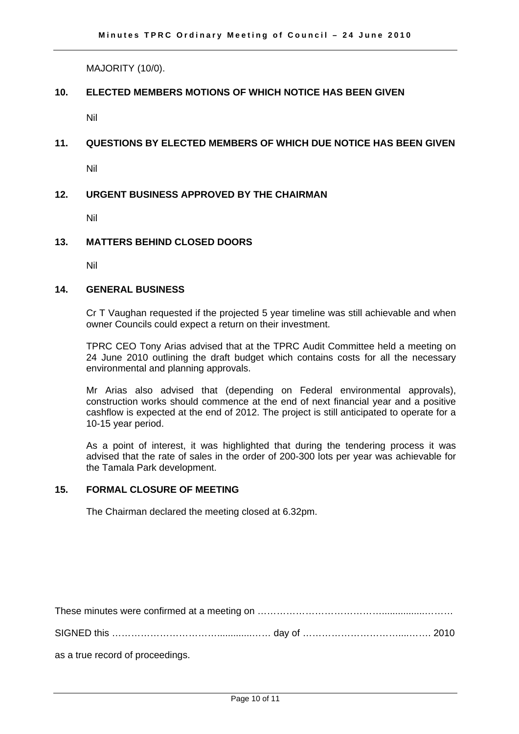MAJORITY (10/0).

#### **10. ELECTED MEMBERS MOTIONS OF WHICH NOTICE HAS BEEN GIVEN**

Nil

## **11. QUESTIONS BY ELECTED MEMBERS OF WHICH DUE NOTICE HAS BEEN GIVEN**

Nil

## **12. URGENT BUSINESS APPROVED BY THE CHAIRMAN**

Nil

#### **13. MATTERS BEHIND CLOSED DOORS**

Nil

#### **14. GENERAL BUSINESS**

 Cr T Vaughan requested if the projected 5 year timeline was still achievable and when owner Councils could expect a return on their investment.

TPRC CEO Tony Arias advised that at the TPRC Audit Committee held a meeting on 24 June 2010 outlining the draft budget which contains costs for all the necessary environmental and planning approvals.

Mr Arias also advised that (depending on Federal environmental approvals), construction works should commence at the end of next financial year and a positive cashflow is expected at the end of 2012. The project is still anticipated to operate for a 10-15 year period.

As a point of interest, it was highlighted that during the tendering process it was advised that the rate of sales in the order of 200-300 lots per year was achievable for the Tamala Park development.

#### **15. FORMAL CLOSURE OF MEETING**

The Chairman declared the meeting closed at 6.32pm.

as a true record of proceedings.